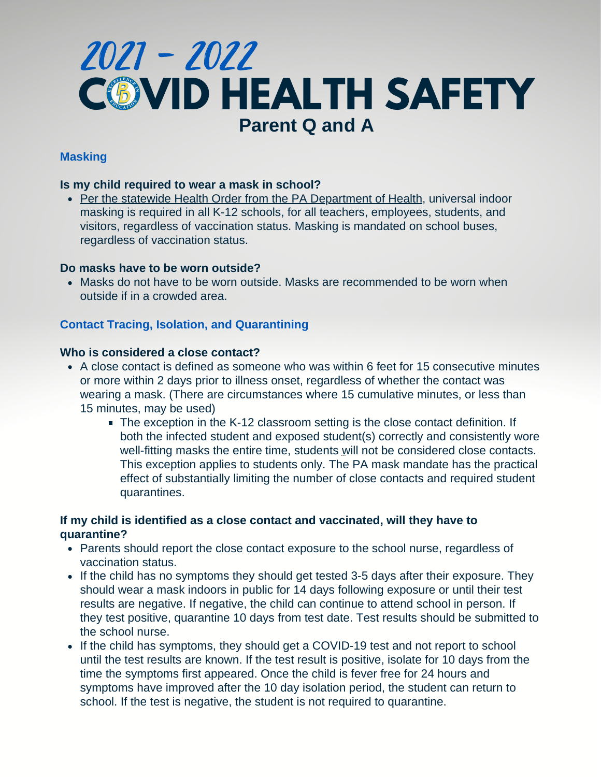# **COVID HEALTH SAFETY Parent Q and A** 2021 - 2022

# **Masking**

### **Is my child required to wear a mask in school?**

• [Per the statewide Health Order from the PA Department of Health](https://www.health.pa.gov/topics/Documents/Diseases%20and%20Conditions/Order%20of%20the%20Acting%20Secretary%20Directing%20Face%20Coverings%20in%20Schools.pdf), universal indoor masking is required in all K-12 schools, for all teachers, employees, students, and visitors, regardless of vaccination status. Masking is mandated on school buses, regardless of vaccination status.

#### **Do masks have to be worn outside?**

• Masks do not have to be worn outside. Masks are recommended to be worn when outside if in a crowded area.

#### **Contact Tracing, Isolation, and Quarantining**

#### **Who is considered a close contact?**

- A close contact is defined as someone who was within 6 feet for 15 consecutive minutes or more within 2 days prior to illness onset, regardless of whether the contact was wearing a mask. (There are circumstances where 15 cumulative minutes, or less than 15 minutes, may be used)
	- The exception in the K-12 classroom setting is the close contact definition. If both the infected student and exposed student(s) correctly and consistently wore well-fitting masks the entire time, students will not be considered close contacts. This exception applies to students only. The PA mask mandate has the practical effect of substantially limiting the number of close contacts and required student quarantines.

# **If my child is identified as a close contact and vaccinated, will they have to quarantine?**

- Parents should report the close contact exposure to the school nurse, regardless of vaccination status.
- If the child has no symptoms they should get tested 3-5 days after their exposure. They should wear a mask indoors in public for 14 days following exposure or until their test results are negative. If negative, the child can continue to attend school in person. If they test positive, quarantine 10 days from test date. Test results should be submitted to the school nurse.
- If the child has symptoms, they should get a COVID-19 test and not report to school until the test results are known. If the test result is positive, isolate for 10 days from the time the symptoms first appeared. Once the child is fever free for 24 hours and symptoms have improved after the 10 day isolation period, the student can return to school. If the test is negative, the student is not required to quarantine.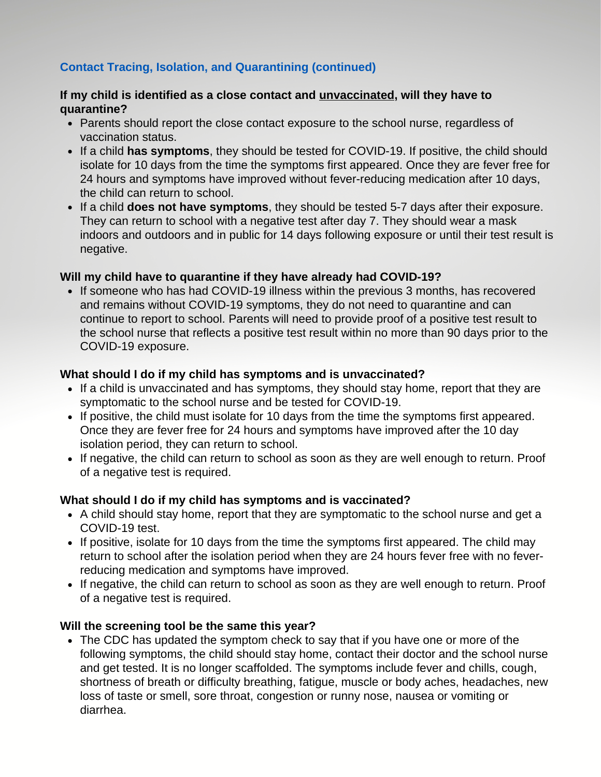# **Contact Tracing, Isolation, and Quarantining (continued)**

# **If my child is identified as a close contact and unvaccinated, will they have to quarantine?**

- Parents should report the close contact exposure to the school nurse, regardless of vaccination status.
- If a child **has symptoms**, they should be tested for COVID-19. If positive, the child should isolate for 10 days from the time the symptoms first appeared. Once they are fever free for 24 hours and symptoms have improved without fever-reducing medication after 10 days, the child can return to school.
- If a child **does not have symptoms**, they should be tested 5-7 days after their exposure. They can return to school with a negative test after day 7. They should wear a mask indoors and outdoors and in public for 14 days following exposure or until their test result is negative.

# **Will my child have to quarantine if they have already had COVID-19?**

• If someone who has had COVID-19 illness within the previous 3 months, has recovered and remains without COVID-19 symptoms, they do not need to quarantine and can continue to report to school. Parents will need to provide proof of a positive test result to the school nurse that reflects a positive test result within no more than 90 days prior to the COVID-19 exposure.

# **What should I do if my child has symptoms and is unvaccinated?**

- If a child is unvaccinated and has symptoms, they should stay home, report that they are symptomatic to the school nurse and be tested for COVID-19.
- If positive, the child must isolate for 10 days from the time the symptoms first appeared. Once they are fever free for 24 hours and symptoms have improved after the 10 day isolation period, they can return to school.
- If negative, the child can return to school as soon as they are well enough to return. Proof of a negative test is required.

# **What should I do if my child has symptoms and is vaccinated?**

- A child should stay home, report that they are symptomatic to the school nurse and get a COVID-19 test.
- If positive, isolate for 10 days from the time the symptoms first appeared. The child may return to school after the isolation period when they are 24 hours fever free with no feverreducing medication and symptoms have improved.
- If negative, the child can return to school as soon as they are well enough to return. Proof of a negative test is required.

#### **Will the screening tool be the same this year?**

The CDC has updated the symptom check to say that if you have one or more of the following symptoms, the child should stay home, contact their doctor and the school nurse and get tested. It is no longer scaffolded. The symptoms include fever and chills, cough, shortness of breath or difficulty breathing, fatigue, muscle or body aches, headaches, new loss of taste or smell, sore throat, congestion or runny nose, nausea or vomiting or diarrhea.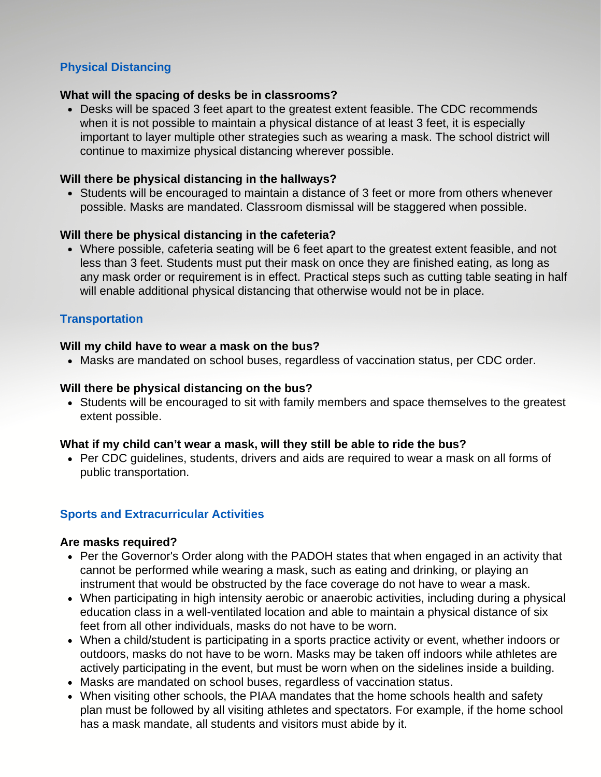# **Physical Distancing**

# **What will the spacing of desks be in classrooms?**

Desks will be spaced 3 feet apart to the greatest extent feasible. The CDC recommends when it is not possible to maintain a physical distance of at least 3 feet, it is especially important to layer multiple other strategies such as wearing a mask. The school district will continue to maximize physical distancing wherever possible.

# **Will there be physical distancing in the hallways?**

Students will be encouraged to maintain a distance of 3 feet or more from others whenever possible. Masks are mandated. Classroom dismissal will be staggered when possible.

# **Will there be physical distancing in the cafeteria?**

Where possible, cafeteria seating will be 6 feet apart to the greatest extent feasible, and not less than 3 feet. Students must put their mask on once they are finished eating, as long as any mask order or requirement is in effect. Practical steps such as cutting table seating in half will enable additional physical distancing that otherwise would not be in place.

# **Transportation**

# **Will my child have to wear a mask on the bus?**

Masks are mandated on school buses, regardless of vaccination status, per CDC order.

# **Will there be physical distancing on the bus?**

• Students will be encouraged to sit with family members and space themselves to the greatest extent possible.

# **What if my child can't wear a mask, will they still be able to ride the bus?**

• Per CDC quidelines, students, drivers and aids are required to wear a mask on all forms of public transportation.

# **Sports and Extracurricular Activities**

# **Are masks required?**

- Per the Governor's Order along with the PADOH states that when engaged in an activity that cannot be performed while wearing a mask, such as eating and drinking, or playing an instrument that would be obstructed by the face coverage do not have to wear a mask.
- When participating in high intensity aerobic or anaerobic activities, including during a physical education class in a well-ventilated location and able to maintain a physical distance of six feet from all other individuals, masks do not have to be worn.
- When a child/student is participating in a sports practice activity or event, whether indoors or outdoors, masks do not have to be worn. Masks may be taken off indoors while athletes are actively participating in the event, but must be worn when on the sidelines inside a building.
- Masks are mandated on school buses, regardless of vaccination status.
- When visiting other schools, the PIAA mandates that the home schools health and safety plan must be followed by all visiting athletes and spectators. For example, if the home school has a mask mandate, all students and visitors must abide by it.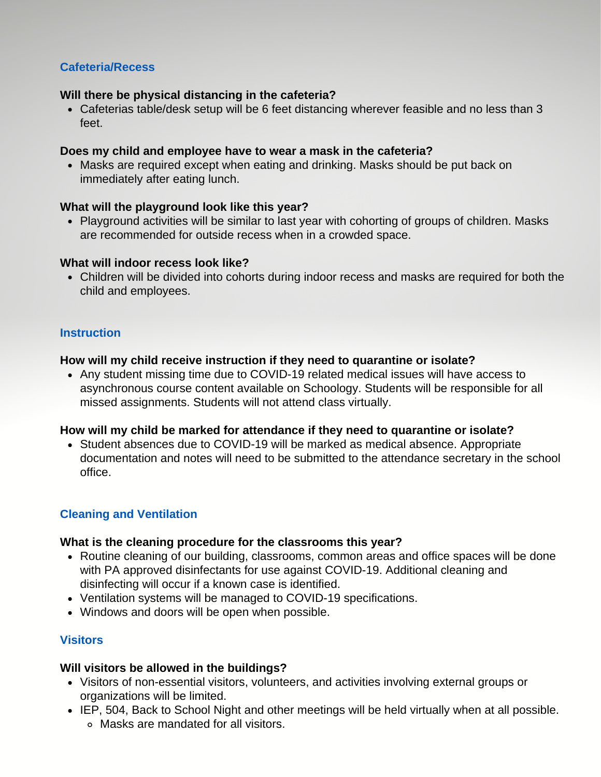# **Cafeteria/Recess**

#### **Will there be physical distancing in the cafeteria?**

Cafeterias table/desk setup will be 6 feet distancing wherever feasible and no less than 3 feet.

### **Does my child and employee have to wear a mask in the cafeteria?**

Masks are required except when eating and drinking. Masks should be put back on immediately after eating lunch.

# **What will the playground look like this year?**

• Playground activities will be similar to last year with cohorting of groups of children. Masks are recommended for outside recess when in a crowded space.

# **What will indoor recess look like?**

Children will be divided into cohorts during indoor recess and masks are required for both the child and employees.

# **Instruction**

# **How will my child receive instruction if they need to quarantine or isolate?**

Any student missing time due to COVID-19 related medical issues will have access to asynchronous course content available on Schoology. Students will be responsible for all missed assignments. Students will not attend class virtually.

# **How will my child be marked for attendance if they need to quarantine or isolate?**

Student absences due to COVID-19 will be marked as medical absence. Appropriate documentation and notes will need to be submitted to the attendance secretary in the school office.

# **Cleaning and Ventilation**

# **What is the cleaning procedure for the classrooms this year?**

- Routine cleaning of our building, classrooms, common areas and office spaces will be done with PA approved disinfectants for use against COVID-19. Additional cleaning and disinfecting will occur if a known case is identified.
- Ventilation systems will be managed to COVID-19 specifications.
- Windows and doors will be open when possible.

# **Visitors**

# **Will visitors be allowed in the buildings?**

- Visitors of non-essential visitors, volunteers, and activities involving external groups or organizations will be limited.
- IEP, 504, Back to School Night and other meetings will be held virtually when at all possible. Masks are mandated for all visitors.